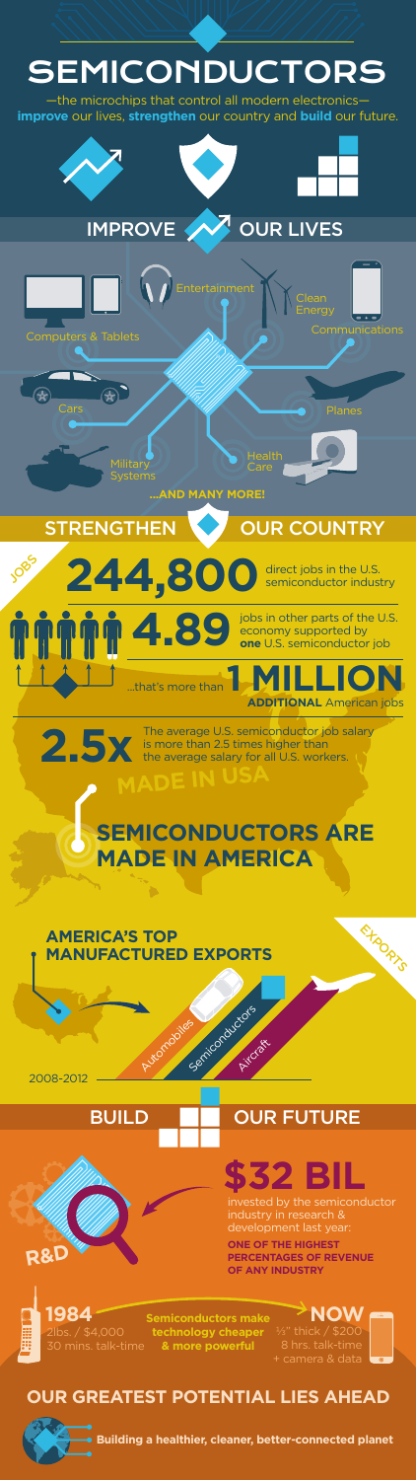

BUILD **NO BUILD** 

2lbs. / \$4,000 30 mins. talk-time **1984 Semiconductors make NOW** 

# **\$32 BIL**

**ONE OF THE HIGHEST PERCENTAGES OF REVENUE OF ANY INDUSTRY**





**technology cheaper & more powerful**

#### **OUR GREATEST POTENTIAL LIES AHEAD**

**Building a healthier, cleaner, better-connected planet**